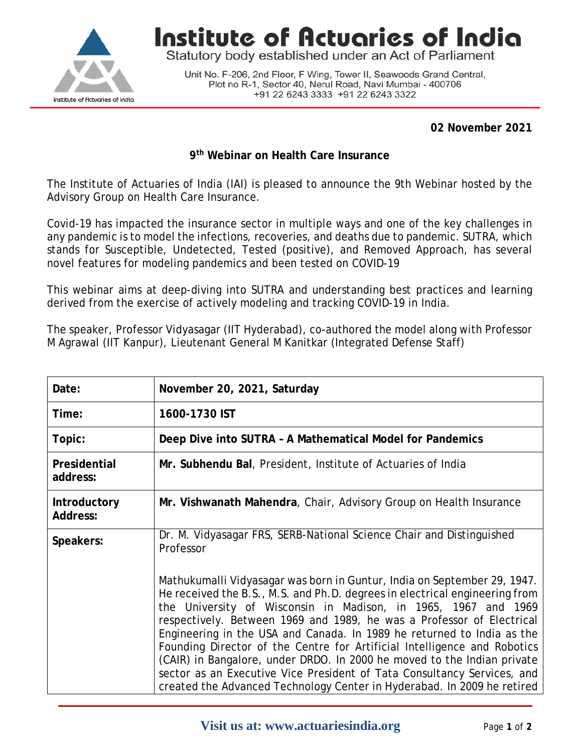

**Institute of Actuaries of India** 

Statutory body established under an Act of Parliament

Unit No. F-206, 2nd Floor, F Wing, Tower II, Seawoods Grand Central, Plot no R-1, Sector 40, Nerul Road, Navi Mumbai - 400706 +91 22 6243 3333 +91 22 6243 3322

**02 November 2021**

## **9th Webinar on Health Care Insurance**

The Institute of Actuaries of India (IAI) is pleased to announce the 9th Webinar hosted by the Advisory Group on Health Care Insurance.

Covid-19 has impacted the insurance sector in multiple ways and one of the key challenges in any pandemic is to model the infections, recoveries, and deaths due to pandemic. SUTRA, which stands for Susceptible, Undetected, Tested (positive), and Removed Approach, has several novel features for modeling pandemics and been tested on COVID-19

This webinar aims at deep-diving into SUTRA and understanding best practices and learning derived from the exercise of actively modeling and tracking COVID-19 in India.

The speaker, Professor Vidyasagar (IIT Hyderabad), co-authored the model along with Professor M Agrawal (IIT Kanpur), Lieutenant General M Kanitkar (Integrated Defense Staff)

| Date:                                  | November 20, 2021, Saturday                                                                                                                                                                                                                                                                                                                                                                                                                                                                                                                                                                                                                                                                                                                                                    |  |  |
|----------------------------------------|--------------------------------------------------------------------------------------------------------------------------------------------------------------------------------------------------------------------------------------------------------------------------------------------------------------------------------------------------------------------------------------------------------------------------------------------------------------------------------------------------------------------------------------------------------------------------------------------------------------------------------------------------------------------------------------------------------------------------------------------------------------------------------|--|--|
| Time:                                  | 1600-1730 IST                                                                                                                                                                                                                                                                                                                                                                                                                                                                                                                                                                                                                                                                                                                                                                  |  |  |
| Topic:                                 | Deep Dive into SUTRA - A Mathematical Model for Pandemics                                                                                                                                                                                                                                                                                                                                                                                                                                                                                                                                                                                                                                                                                                                      |  |  |
| Presidential<br>address:               | Mr. Subhendu Bal, President, Institute of Actuaries of India                                                                                                                                                                                                                                                                                                                                                                                                                                                                                                                                                                                                                                                                                                                   |  |  |
| <b>Introductory</b><br><b>Address:</b> | Mr. Vishwanath Mahendra, Chair, Advisory Group on Health Insurance                                                                                                                                                                                                                                                                                                                                                                                                                                                                                                                                                                                                                                                                                                             |  |  |
| Speakers:                              | Dr. M. Vidyasagar FRS, SERB-National Science Chair and Distinguished<br>Professor<br>Mathukumalli Vidyasagar was born in Guntur, India on September 29, 1947.<br>He received the B.S., M.S. and Ph.D. degrees in electrical engineering from<br>the University of Wisconsin in Madison, in 1965, 1967 and 1969<br>respectively. Between 1969 and 1989, he was a Professor of Electrical<br>Engineering in the USA and Canada. In 1989 he returned to India as the<br>Founding Director of the Centre for Artificial Intelligence and Robotics<br>(CAIR) in Bangalore, under DRDO. In 2000 he moved to the Indian private<br>sector as an Executive Vice President of Tata Consultancy Services, and<br>created the Advanced Technology Center in Hyderabad. In 2009 he retired |  |  |